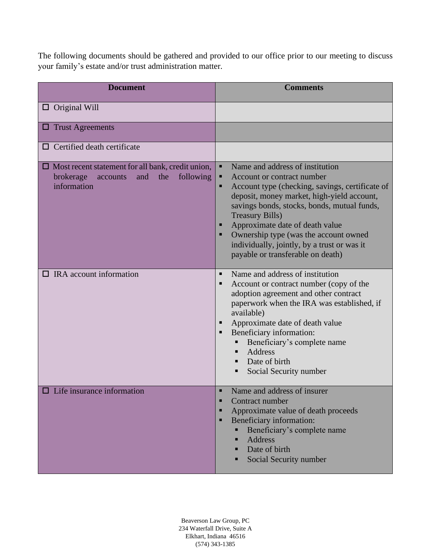The following documents should be gathered and provided to our office prior to our meeting to discuss your family's estate and/or trust administration matter.

| <b>Document</b>                                                                                                             | <b>Comments</b>                                                                                                                                                                                                                                                                                                                                                                                              |
|-----------------------------------------------------------------------------------------------------------------------------|--------------------------------------------------------------------------------------------------------------------------------------------------------------------------------------------------------------------------------------------------------------------------------------------------------------------------------------------------------------------------------------------------------------|
| $\Box$ Original Will                                                                                                        |                                                                                                                                                                                                                                                                                                                                                                                                              |
| $\Box$ Trust Agreements                                                                                                     |                                                                                                                                                                                                                                                                                                                                                                                                              |
| $\Box$ Certified death certificate                                                                                          |                                                                                                                                                                                                                                                                                                                                                                                                              |
| $\Box$ Most recent statement for all bank, credit union,<br>brokerage<br>the<br>following<br>accounts<br>and<br>information | Name and address of institution<br>п<br>Account or contract number<br>Account type (checking, savings, certificate of<br>deposit, money market, high-yield account,<br>savings bonds, stocks, bonds, mutual funds,<br><b>Treasury Bills)</b><br>Approximate date of death value<br>Ownership type (was the account owned<br>individually, jointly, by a trust or was it<br>payable or transferable on death) |
| $\Box$ IRA account information                                                                                              | Name and address of institution<br>$\blacksquare$<br>Account or contract number (copy of the<br>п<br>adoption agreement and other contract<br>paperwork when the IRA was established, if<br>available)<br>Approximate date of death value<br>Beneficiary information:<br>п<br>Beneficiary's complete name<br>Address<br>Date of birth<br>Social Security number                                              |
| $\Box$ Life insurance information                                                                                           | Name and address of insurer<br>п<br>Contract number<br>Approximate value of death proceeds<br>п<br>Beneficiary information:<br>п<br>Beneficiary's complete name<br><b>Address</b><br>▪<br>Date of birth<br>Social Security number                                                                                                                                                                            |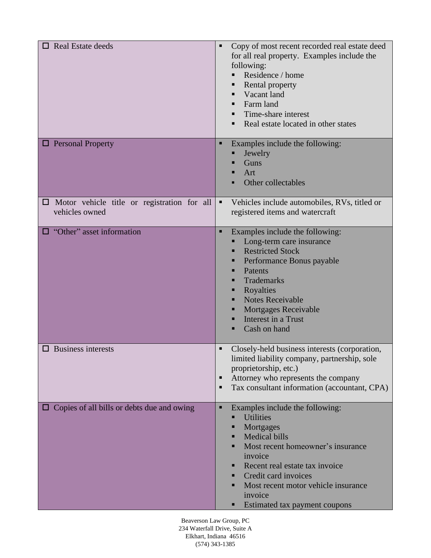| <b>Real Estate deeds</b>                                             | Copy of most recent recorded real estate deed<br>٠<br>for all real property. Examples include the<br>following:<br>Residence / home<br>Rental property<br>■<br>Vacant land<br>Farm land<br>■<br>Time-share interest<br>Real estate located in other states                                                          |
|----------------------------------------------------------------------|---------------------------------------------------------------------------------------------------------------------------------------------------------------------------------------------------------------------------------------------------------------------------------------------------------------------|
| <b>D</b> Personal Property                                           | Examples include the following:<br>п<br>Jewelry<br>Guns<br>■<br>Art<br>п<br>Other collectables                                                                                                                                                                                                                      |
| $\Box$ Motor vehicle title or registration for all<br>vehicles owned | Vehicles include automobiles, RVs, titled or<br>٠<br>registered items and watercraft                                                                                                                                                                                                                                |
| $\Box$ "Other" asset information                                     | Examples include the following:<br>п<br>Long-term care insurance<br><b>Restricted Stock</b><br>Performance Bonus payable<br>Patents<br><b>Trademarks</b><br>Royalties<br>■<br><b>Notes Receivable</b><br>■<br><b>Mortgages Receivable</b><br>Interest in a Trust<br>■<br>Cash on hand<br>■                          |
| $\Box$ Business interests                                            | Closely-held business interests (corporation,<br>٠<br>limited liability company, partnership, sole<br>proprietorship, etc.)<br>Attorney who represents the company<br>٠<br>Tax consultant information (accountant, CPA)<br>п                                                                                        |
| Copies of all bills or debts due and owing                           | Examples include the following:<br>٠<br><b>Utilities</b><br>∎<br>Mortgages<br><b>Medical bills</b><br>∎<br>Most recent homeowner's insurance<br>■<br>invoice<br>Recent real estate tax invoice<br>Credit card invoices<br>■<br>Most recent motor vehicle insurance<br>■<br>invoice<br>Estimated tax payment coupons |

Beaverson Law Group, PC 234 Waterfall Drive, Suite A Elkhart, Indiana 46516 (574) 343-1385